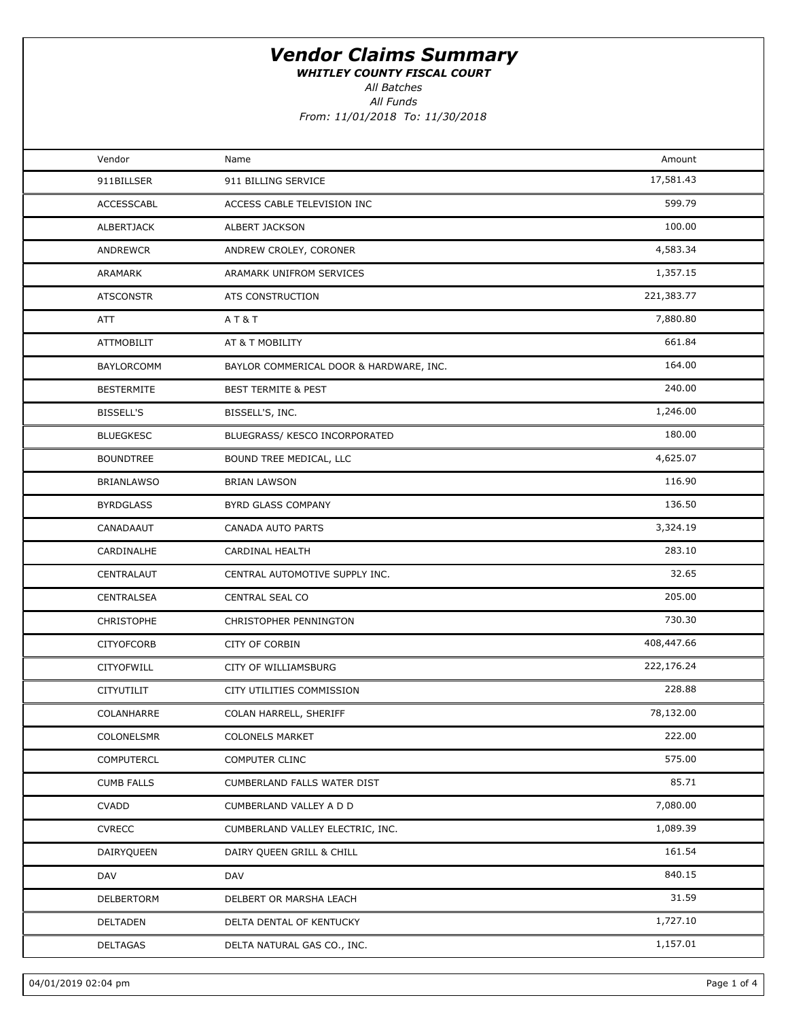WHITLEY COUNTY FISCAL COURT

All Batches

All Funds From: 11/01/2018 To: 11/30/2018

| Vendor            | Name                                    | Amount     |  |
|-------------------|-----------------------------------------|------------|--|
| 911BILLSER        | 911 BILLING SERVICE                     | 17,581.43  |  |
| ACCESSCABL        | ACCESS CABLE TELEVISION INC             | 599.79     |  |
| ALBERTJACK        | ALBERT JACKSON                          | 100.00     |  |
| ANDREWCR          | ANDREW CROLEY, CORONER                  | 4,583.34   |  |
| ARAMARK           | ARAMARK UNIFROM SERVICES                | 1,357.15   |  |
| <b>ATSCONSTR</b>  | ATS CONSTRUCTION                        | 221,383.77 |  |
| ATT               | <b>AT&amp;T</b>                         | 7,880.80   |  |
| ATTMOBILIT        | AT & T MOBILITY                         | 661.84     |  |
| <b>BAYLORCOMM</b> | BAYLOR COMMERICAL DOOR & HARDWARE, INC. | 164.00     |  |
| <b>BESTERMITE</b> | <b>BEST TERMITE &amp; PEST</b>          | 240.00     |  |
| <b>BISSELL'S</b>  | BISSELL'S, INC.                         | 1,246.00   |  |
| <b>BLUEGKESC</b>  | BLUEGRASS/ KESCO INCORPORATED           | 180.00     |  |
| <b>BOUNDTREE</b>  | BOUND TREE MEDICAL, LLC                 | 4,625.07   |  |
| <b>BRIANLAWSO</b> | <b>BRIAN LAWSON</b>                     | 116.90     |  |
| <b>BYRDGLASS</b>  | BYRD GLASS COMPANY                      | 136.50     |  |
| CANADAAUT         | CANADA AUTO PARTS                       | 3,324.19   |  |
| CARDINALHE        | CARDINAL HEALTH                         | 283.10     |  |
| CENTRALAUT        | CENTRAL AUTOMOTIVE SUPPLY INC.          | 32.65      |  |
| CENTRALSEA        | CENTRAL SEAL CO                         | 205.00     |  |
| CHRISTOPHE        | CHRISTOPHER PENNINGTON                  | 730.30     |  |
| <b>CITYOFCORB</b> | <b>CITY OF CORBIN</b>                   | 408,447.66 |  |
| CITYOFWILL        | CITY OF WILLIAMSBURG                    | 222,176.24 |  |
| <b>CITYUTILIT</b> | CITY UTILITIES COMMISSION               | 228.88     |  |
| COLANHARRE        | COLAN HARRELL, SHERIFF                  | 78,132.00  |  |
| COLONELSMR        | <b>COLONELS MARKET</b>                  | 222.00     |  |
| <b>COMPUTERCL</b> | <b>COMPUTER CLINC</b>                   | 575.00     |  |
| <b>CUMB FALLS</b> | CUMBERLAND FALLS WATER DIST             | 85.71      |  |
| <b>CVADD</b>      | CUMBERLAND VALLEY A D D                 | 7,080.00   |  |
| <b>CVRECC</b>     | CUMBERLAND VALLEY ELECTRIC, INC.        | 1,089.39   |  |
| DAIRYQUEEN        | DAIRY QUEEN GRILL & CHILL               | 161.54     |  |
| DAV               | DAV                                     | 840.15     |  |
| DELBERTORM        | DELBERT OR MARSHA LEACH                 | 31.59      |  |
| DELTADEN          | DELTA DENTAL OF KENTUCKY                | 1,727.10   |  |
| DELTAGAS          | DELTA NATURAL GAS CO., INC.             | 1,157.01   |  |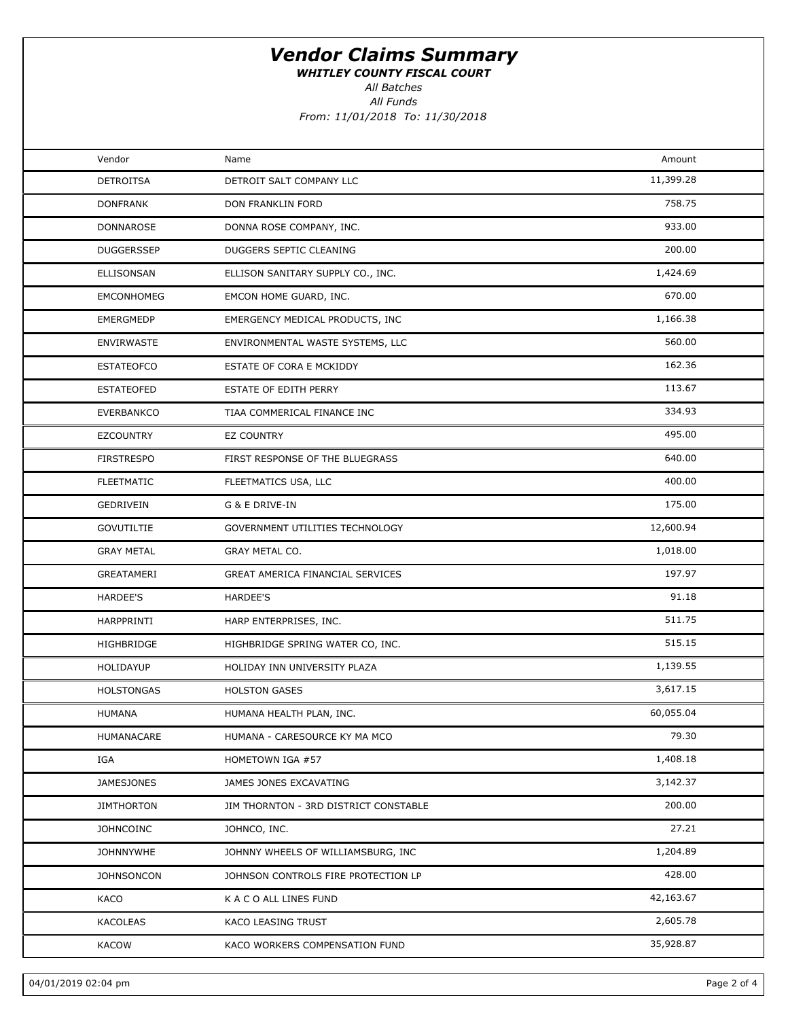WHITLEY COUNTY FISCAL COURT

All Funds All Batches

From: 11/01/2018 To: 11/30/2018

| Vendor            | Name                                  | Amount    |  |
|-------------------|---------------------------------------|-----------|--|
| <b>DETROITSA</b>  | DETROIT SALT COMPANY LLC              | 11,399.28 |  |
| <b>DONFRANK</b>   | DON FRANKLIN FORD                     | 758.75    |  |
| DONNAROSE         | DONNA ROSE COMPANY, INC.              | 933.00    |  |
| <b>DUGGERSSEP</b> | DUGGERS SEPTIC CLEANING               | 200.00    |  |
| <b>ELLISONSAN</b> | ELLISON SANITARY SUPPLY CO., INC.     | 1,424.69  |  |
| <b>EMCONHOMEG</b> | EMCON HOME GUARD, INC.                | 670.00    |  |
| <b>EMERGMEDP</b>  | EMERGENCY MEDICAL PRODUCTS, INC       | 1,166.38  |  |
| <b>ENVIRWASTE</b> | ENVIRONMENTAL WASTE SYSTEMS, LLC      | 560.00    |  |
| <b>ESTATEOFCO</b> | ESTATE OF CORA E MCKIDDY              | 162.36    |  |
| <b>ESTATEOFED</b> | ESTATE OF EDITH PERRY                 | 113.67    |  |
| <b>EVERBANKCO</b> | TIAA COMMERICAL FINANCE INC           | 334.93    |  |
| <b>EZCOUNTRY</b>  | EZ COUNTRY                            | 495.00    |  |
| <b>FIRSTRESPO</b> | FIRST RESPONSE OF THE BLUEGRASS       | 640.00    |  |
| <b>FLEETMATIC</b> | FLEETMATICS USA, LLC                  | 400.00    |  |
| GEDRIVEIN         | G & E DRIVE-IN                        | 175.00    |  |
| <b>GOVUTILTIE</b> | GOVERNMENT UTILITIES TECHNOLOGY       | 12,600.94 |  |
| <b>GRAY METAL</b> | GRAY METAL CO.                        | 1,018.00  |  |
| GREATAMERI        | GREAT AMERICA FINANCIAL SERVICES      | 197.97    |  |
| HARDEE'S          | <b>HARDEE'S</b>                       | 91.18     |  |
| HARPPRINTI        | HARP ENTERPRISES, INC.                | 511.75    |  |
| HIGHBRIDGE        | HIGHBRIDGE SPRING WATER CO, INC.      | 515.15    |  |
| HOLIDAYUP         | HOLIDAY INN UNIVERSITY PLAZA          | 1,139.55  |  |
| <b>HOLSTONGAS</b> | <b>HOLSTON GASES</b>                  | 3,617.15  |  |
| <b>HUMANA</b>     | HUMANA HEALTH PLAN, INC.              | 60,055.04 |  |
| HUMANACARE        | HUMANA - CARESOURCE KY MA MCO         | 79.30     |  |
| IGA               | HOMETOWN IGA #57                      | 1,408.18  |  |
| <b>JAMESJONES</b> | JAMES JONES EXCAVATING                | 3,142.37  |  |
| <b>JIMTHORTON</b> | JIM THORNTON - 3RD DISTRICT CONSTABLE | 200.00    |  |
| <b>JOHNCOINC</b>  | JOHNCO, INC.                          | 27.21     |  |
| <b>JOHNNYWHE</b>  | JOHNNY WHEELS OF WILLIAMSBURG, INC    | 1,204.89  |  |
| <b>JOHNSONCON</b> | JOHNSON CONTROLS FIRE PROTECTION LP   | 428.00    |  |
| KACO              | K A C O ALL LINES FUND                | 42,163.67 |  |
| KACOLEAS          | KACO LEASING TRUST                    | 2,605.78  |  |
| <b>KACOW</b>      | KACO WORKERS COMPENSATION FUND        | 35,928.87 |  |
|                   |                                       |           |  |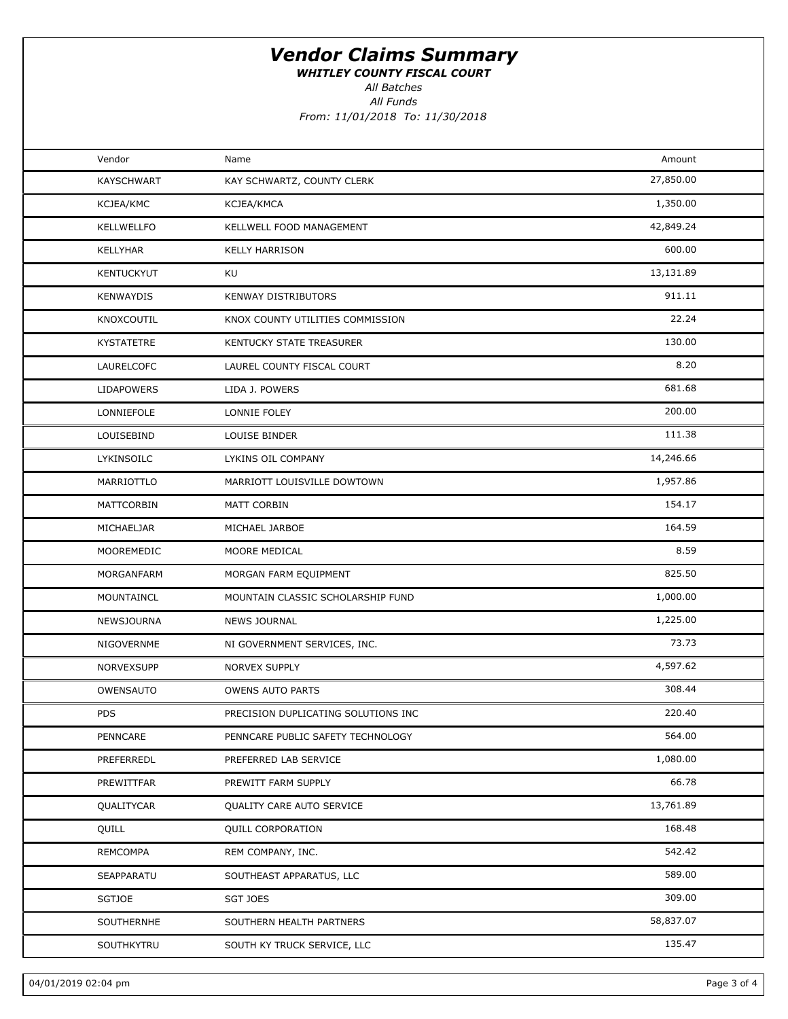WHITLEY COUNTY FISCAL COURT

All Batches

All Funds From: 11/01/2018 To: 11/30/2018

| Vendor            | Name                                | Amount    |  |
|-------------------|-------------------------------------|-----------|--|
| <b>KAYSCHWART</b> | KAY SCHWARTZ, COUNTY CLERK          | 27,850.00 |  |
| KCJEA/KMC         | KCJEA/KMCA                          | 1,350.00  |  |
| <b>KELLWELLFO</b> | KELLWELL FOOD MANAGEMENT            | 42,849.24 |  |
| <b>KELLYHAR</b>   | <b>KELLY HARRISON</b>               | 600.00    |  |
| <b>KENTUCKYUT</b> | KU                                  | 13,131.89 |  |
| <b>KENWAYDIS</b>  | KENWAY DISTRIBUTORS                 | 911.11    |  |
| KNOXCOUTIL        | KNOX COUNTY UTILITIES COMMISSION    | 22.24     |  |
| <b>KYSTATETRE</b> | KENTUCKY STATE TREASURER            | 130.00    |  |
| LAURELCOFC        | LAUREL COUNTY FISCAL COURT          | 8.20      |  |
| <b>LIDAPOWERS</b> | LIDA J. POWERS                      | 681.68    |  |
| LONNIEFOLE        | LONNIE FOLEY                        | 200.00    |  |
| LOUISEBIND        | LOUISE BINDER                       | 111.38    |  |
| LYKINSOILC        | LYKINS OIL COMPANY                  | 14,246.66 |  |
| MARRIOTTLO        | MARRIOTT LOUISVILLE DOWTOWN         | 1,957.86  |  |
| MATTCORBIN        | MATT CORBIN                         | 154.17    |  |
| MICHAELJAR        | MICHAEL JARBOE                      | 164.59    |  |
| MOOREMEDIC        | MOORE MEDICAL                       | 8.59      |  |
| MORGANFARM        | MORGAN FARM EQUIPMENT               | 825.50    |  |
| MOUNTAINCL        | MOUNTAIN CLASSIC SCHOLARSHIP FUND   | 1,000.00  |  |
| NEWSJOURNA        | <b>NEWS JOURNAL</b>                 | 1,225.00  |  |
| NIGOVERNME        | NI GOVERNMENT SERVICES, INC.        | 73.73     |  |
| NORVEXSUPP        | NORVEX SUPPLY                       | 4,597.62  |  |
| OWENSAUTO         | <b>OWENS AUTO PARTS</b>             | 308.44    |  |
| <b>PDS</b>        | PRECISION DUPLICATING SOLUTIONS INC | 220.40    |  |
| PENNCARE          | PENNCARE PUBLIC SAFETY TECHNOLOGY   | 564.00    |  |
| PREFERREDL        | PREFERRED LAB SERVICE               | 1,080.00  |  |
| PREWITTFAR        | PREWITT FARM SUPPLY                 | 66.78     |  |
| QUALITYCAR        | QUALITY CARE AUTO SERVICE           | 13,761.89 |  |
| QUILL             | <b>QUILL CORPORATION</b>            | 168.48    |  |
| REMCOMPA          | REM COMPANY, INC.                   | 542.42    |  |
| SEAPPARATU        | SOUTHEAST APPARATUS, LLC            | 589.00    |  |
| <b>SGTJOE</b>     | <b>SGT JOES</b>                     | 309.00    |  |
| SOUTHERNHE        | SOUTHERN HEALTH PARTNERS            | 58,837.07 |  |
| SOUTHKYTRU        | SOUTH KY TRUCK SERVICE, LLC         | 135.47    |  |